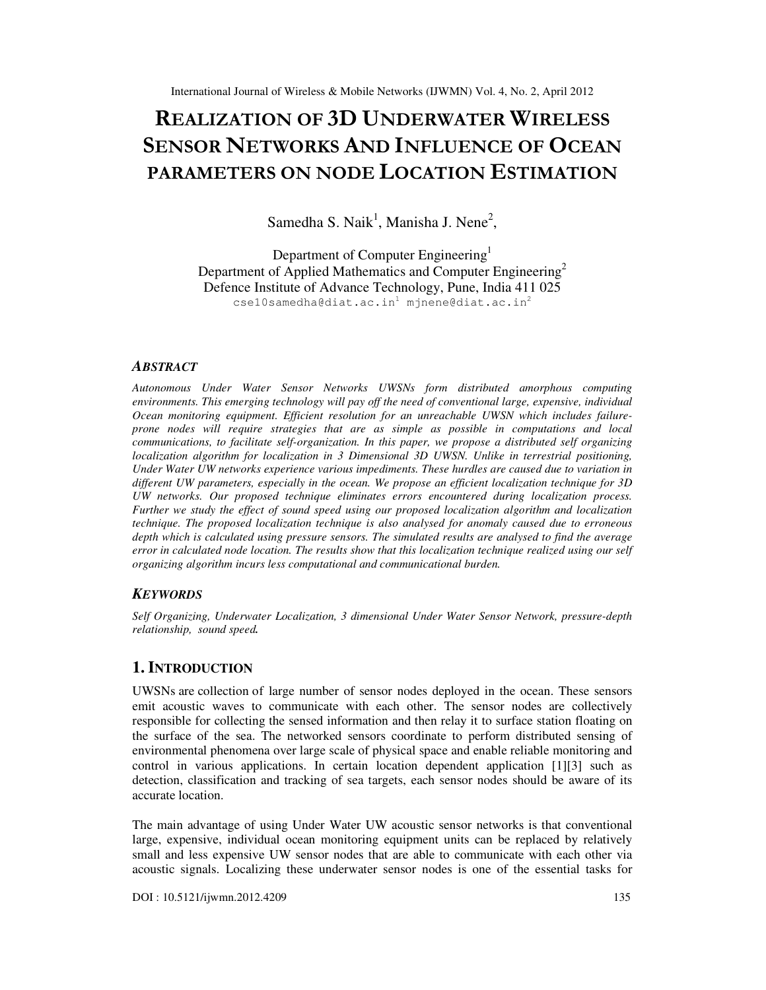# REALIZATION OF 3D UNDERWATER WIRELESS SENSOR NETWORKS AND INFLUENCE OF OCEAN PARAMETERS ON NODE LOCATION ESTIMATION

Samedha S. Naik<sup>1</sup>, Manisha J. Nene<sup>2</sup>,

Department of Computer Engineering<sup>1</sup> Department of Applied Mathematics and Computer Engineering<sup>2</sup> Defence Institute of Advance Technology, Pune, India 411 025  $csel0$ samedha@diat.ac.in<sup>1</sup> mjnene@diat.ac.in<sup>2</sup>

#### *ABSTRACT*

*Autonomous Under Water Sensor Networks UWSNs form distributed amorphous computing environments. This emerging technology will pay off the need of conventional large, expensive, individual Ocean monitoring equipment. Efficient resolution for an unreachable UWSN which includes failureprone nodes will require strategies that are as simple as possible in computations and local communications, to facilitate self-organization. In this paper, we propose a distributed self organizing localization algorithm for localization in 3 Dimensional 3D UWSN. Unlike in terrestrial positioning, Under Water UW networks experience various impediments. These hurdles are caused due to variation in different UW parameters, especially in the ocean. We propose an efficient localization technique for 3D UW networks. Our proposed technique eliminates errors encountered during localization process. Further we study the effect of sound speed using our proposed localization algorithm and localization technique. The proposed localization technique is also analysed for anomaly caused due to erroneous depth which is calculated using pressure sensors. The simulated results are analysed to find the average error in calculated node location. The results show that this localization technique realized using our self organizing algorithm incurs less computational and communicational burden.* 

#### *KEYWORDS*

*Self Organizing, Underwater Localization, 3 dimensional Under Water Sensor Network, pressure-depth relationship, sound speed.*

## **1. INTRODUCTION**

UWSNs are collection of large number of sensor nodes deployed in the ocean. These sensors emit acoustic waves to communicate with each other. The sensor nodes are collectively responsible for collecting the sensed information and then relay it to surface station floating on the surface of the sea. The networked sensors coordinate to perform distributed sensing of environmental phenomena over large scale of physical space and enable reliable monitoring and control in various applications. In certain location dependent application [1][3] such as detection, classification and tracking of sea targets, each sensor nodes should be aware of its accurate location.

The main advantage of using Under Water UW acoustic sensor networks is that conventional large, expensive, individual ocean monitoring equipment units can be replaced by relatively small and less expensive UW sensor nodes that are able to communicate with each other via acoustic signals. Localizing these underwater sensor nodes is one of the essential tasks for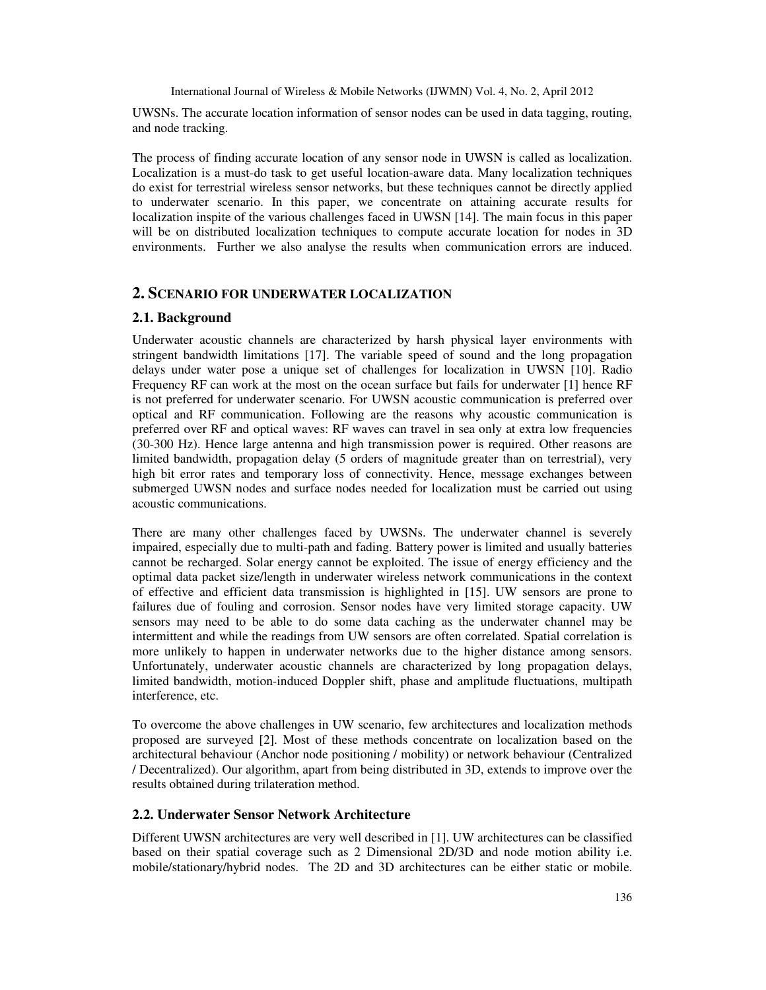UWSNs. The accurate location information of sensor nodes can be used in data tagging, routing, and node tracking.

The process of finding accurate location of any sensor node in UWSN is called as localization. Localization is a must-do task to get useful location-aware data. Many localization techniques do exist for terrestrial wireless sensor networks, but these techniques cannot be directly applied to underwater scenario. In this paper, we concentrate on attaining accurate results for localization inspite of the various challenges faced in UWSN [14]. The main focus in this paper will be on distributed localization techniques to compute accurate location for nodes in 3D environments. Further we also analyse the results when communication errors are induced.

## **2. SCENARIO FOR UNDERWATER LOCALIZATION**

## **2.1. Background**

Underwater acoustic channels are characterized by harsh physical layer environments with stringent bandwidth limitations [17]. The variable speed of sound and the long propagation delays under water pose a unique set of challenges for localization in UWSN [10]. Radio Frequency RF can work at the most on the ocean surface but fails for underwater [1] hence RF is not preferred for underwater scenario. For UWSN acoustic communication is preferred over optical and RF communication. Following are the reasons why acoustic communication is preferred over RF and optical waves: RF waves can travel in sea only at extra low frequencies (30-300 Hz). Hence large antenna and high transmission power is required. Other reasons are limited bandwidth, propagation delay (5 orders of magnitude greater than on terrestrial), very high bit error rates and temporary loss of connectivity. Hence, message exchanges between submerged UWSN nodes and surface nodes needed for localization must be carried out using acoustic communications.

There are many other challenges faced by UWSNs. The underwater channel is severely impaired, especially due to multi-path and fading. Battery power is limited and usually batteries cannot be recharged. Solar energy cannot be exploited. The issue of energy efficiency and the optimal data packet size/length in underwater wireless network communications in the context of effective and efficient data transmission is highlighted in [15]. UW sensors are prone to failures due of fouling and corrosion. Sensor nodes have very limited storage capacity. UW sensors may need to be able to do some data caching as the underwater channel may be intermittent and while the readings from UW sensors are often correlated. Spatial correlation is more unlikely to happen in underwater networks due to the higher distance among sensors. Unfortunately, underwater acoustic channels are characterized by long propagation delays, limited bandwidth, motion-induced Doppler shift, phase and amplitude fluctuations, multipath interference, etc.

To overcome the above challenges in UW scenario, few architectures and localization methods proposed are surveyed [2]. Most of these methods concentrate on localization based on the architectural behaviour (Anchor node positioning / mobility) or network behaviour (Centralized / Decentralized). Our algorithm, apart from being distributed in 3D, extends to improve over the results obtained during trilateration method.

## **2.2. Underwater Sensor Network Architecture**

Different UWSN architectures are very well described in [1]. UW architectures can be classified based on their spatial coverage such as 2 Dimensional 2D/3D and node motion ability i.e. mobile/stationary/hybrid nodes. The 2D and 3D architectures can be either static or mobile.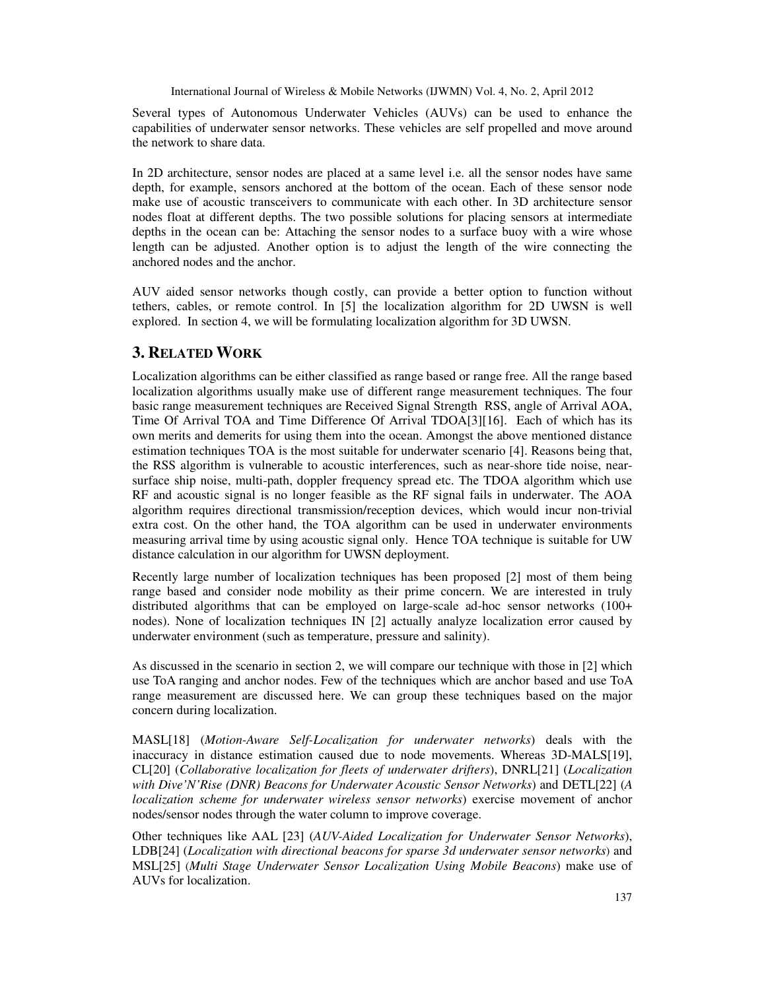Several types of Autonomous Underwater Vehicles (AUVs) can be used to enhance the capabilities of underwater sensor networks. These vehicles are self propelled and move around the network to share data.

In 2D architecture, sensor nodes are placed at a same level i.e. all the sensor nodes have same depth, for example, sensors anchored at the bottom of the ocean. Each of these sensor node make use of acoustic transceivers to communicate with each other. In 3D architecture sensor nodes float at different depths. The two possible solutions for placing sensors at intermediate depths in the ocean can be: Attaching the sensor nodes to a surface buoy with a wire whose length can be adjusted. Another option is to adjust the length of the wire connecting the anchored nodes and the anchor.

AUV aided sensor networks though costly, can provide a better option to function without tethers, cables, or remote control. In [5] the localization algorithm for 2D UWSN is well explored. In section 4, we will be formulating localization algorithm for 3D UWSN.

# **3. RELATED WORK**

Localization algorithms can be either classified as range based or range free. All the range based localization algorithms usually make use of different range measurement techniques. The four basic range measurement techniques are Received Signal Strength RSS, angle of Arrival AOA, Time Of Arrival TOA and Time Difference Of Arrival TDOA[3][16]. Each of which has its own merits and demerits for using them into the ocean. Amongst the above mentioned distance estimation techniques TOA is the most suitable for underwater scenario [4]. Reasons being that, the RSS algorithm is vulnerable to acoustic interferences, such as near-shore tide noise, nearsurface ship noise, multi-path, doppler frequency spread etc. The TDOA algorithm which use RF and acoustic signal is no longer feasible as the RF signal fails in underwater. The AOA algorithm requires directional transmission/reception devices, which would incur non-trivial extra cost. On the other hand, the TOA algorithm can be used in underwater environments measuring arrival time by using acoustic signal only. Hence TOA technique is suitable for UW distance calculation in our algorithm for UWSN deployment.

Recently large number of localization techniques has been proposed [2] most of them being range based and consider node mobility as their prime concern. We are interested in truly distributed algorithms that can be employed on large-scale ad-hoc sensor networks (100+ nodes). None of localization techniques IN [2] actually analyze localization error caused by underwater environment (such as temperature, pressure and salinity).

As discussed in the scenario in section 2, we will compare our technique with those in [2] which use ToA ranging and anchor nodes. Few of the techniques which are anchor based and use ToA range measurement are discussed here. We can group these techniques based on the major concern during localization.

MASL[18] (*Motion-Aware Self-Localization for underwater networks*) deals with the inaccuracy in distance estimation caused due to node movements. Whereas 3D-MALS[19], CL[20] (*Collaborative localization for fleets of underwater drifters*), DNRL[21] (*Localization with Dive'N'Rise (DNR) Beacons for Underwater Acoustic Sensor Networks*) and DETL[22] (*A localization scheme for underwater wireless sensor networks*) exercise movement of anchor nodes/sensor nodes through the water column to improve coverage.

Other techniques like AAL [23] (*AUV-Aided Localization for Underwater Sensor Networks*), LDB[24] (*Localization with directional beacons for sparse 3d underwater sensor networks*) and MSL[25] (*Multi Stage Underwater Sensor Localization Using Mobile Beacons*) make use of AUVs for localization.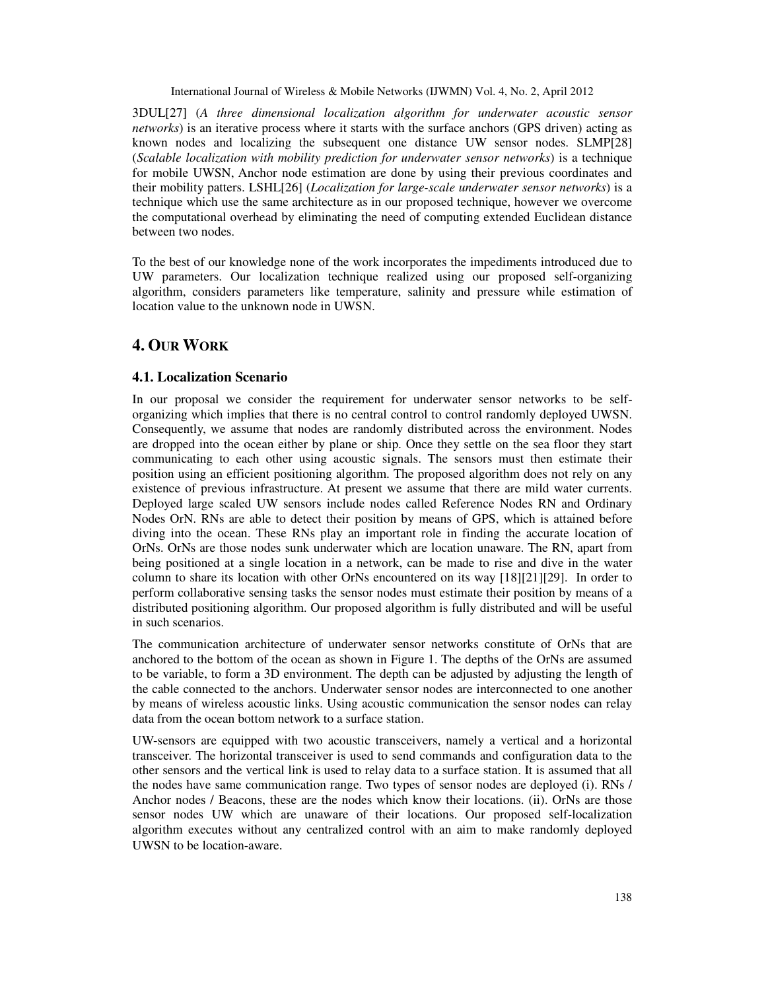3DUL[27] (*A three dimensional localization algorithm for underwater acoustic sensor networks*) is an iterative process where it starts with the surface anchors (GPS driven) acting as known nodes and localizing the subsequent one distance UW sensor nodes. SLMP[28] (*Scalable localization with mobility prediction for underwater sensor networks*) is a technique for mobile UWSN, Anchor node estimation are done by using their previous coordinates and their mobility patters. LSHL[26] (*Localization for large-scale underwater sensor networks*) is a technique which use the same architecture as in our proposed technique, however we overcome the computational overhead by eliminating the need of computing extended Euclidean distance between two nodes.

To the best of our knowledge none of the work incorporates the impediments introduced due to UW parameters. Our localization technique realized using our proposed self-organizing algorithm, considers parameters like temperature, salinity and pressure while estimation of location value to the unknown node in UWSN.

# **4. OUR WORK**

### **4.1. Localization Scenario**

In our proposal we consider the requirement for underwater sensor networks to be selforganizing which implies that there is no central control to control randomly deployed UWSN. Consequently, we assume that nodes are randomly distributed across the environment. Nodes are dropped into the ocean either by plane or ship. Once they settle on the sea floor they start communicating to each other using acoustic signals. The sensors must then estimate their position using an efficient positioning algorithm. The proposed algorithm does not rely on any existence of previous infrastructure. At present we assume that there are mild water currents. Deployed large scaled UW sensors include nodes called Reference Nodes RN and Ordinary Nodes OrN. RNs are able to detect their position by means of GPS, which is attained before diving into the ocean. These RNs play an important role in finding the accurate location of OrNs. OrNs are those nodes sunk underwater which are location unaware. The RN, apart from being positioned at a single location in a network, can be made to rise and dive in the water column to share its location with other OrNs encountered on its way [18][21][29]. In order to perform collaborative sensing tasks the sensor nodes must estimate their position by means of a distributed positioning algorithm. Our proposed algorithm is fully distributed and will be useful in such scenarios.

The communication architecture of underwater sensor networks constitute of OrNs that are anchored to the bottom of the ocean as shown in Figure 1. The depths of the OrNs are assumed to be variable, to form a 3D environment. The depth can be adjusted by adjusting the length of the cable connected to the anchors. Underwater sensor nodes are interconnected to one another by means of wireless acoustic links. Using acoustic communication the sensor nodes can relay data from the ocean bottom network to a surface station.

UW-sensors are equipped with two acoustic transceivers, namely a vertical and a horizontal transceiver. The horizontal transceiver is used to send commands and configuration data to the other sensors and the vertical link is used to relay data to a surface station. It is assumed that all the nodes have same communication range. Two types of sensor nodes are deployed (i). RNs / Anchor nodes / Beacons, these are the nodes which know their locations. (ii). OrNs are those sensor nodes UW which are unaware of their locations. Our proposed self-localization algorithm executes without any centralized control with an aim to make randomly deployed UWSN to be location-aware.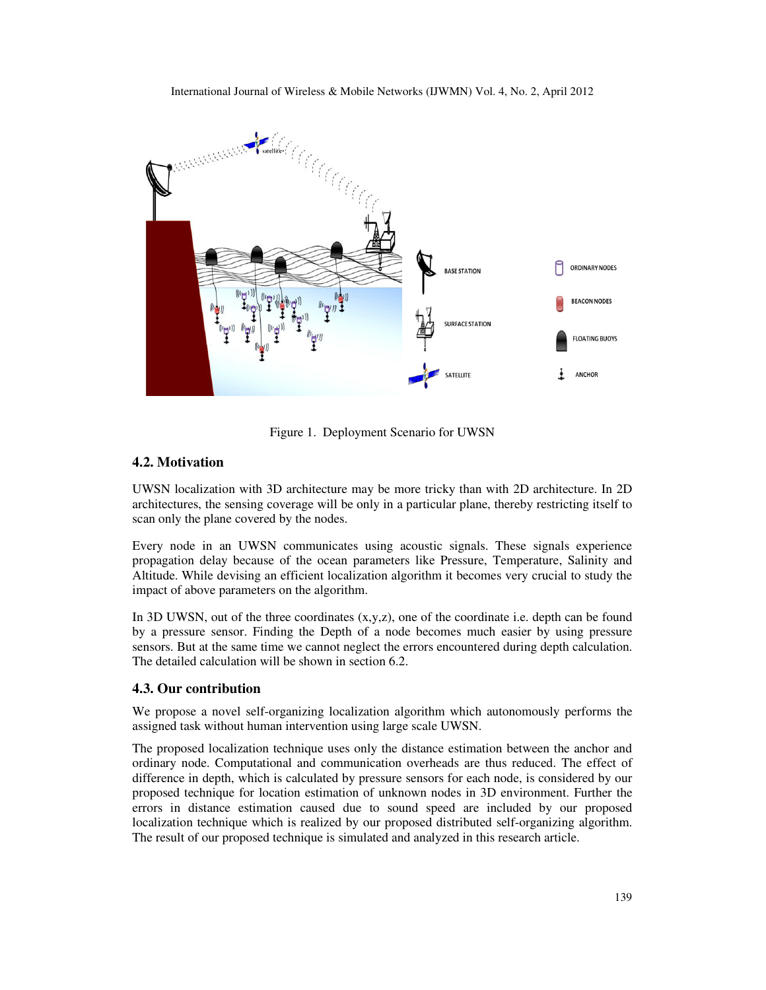

Figure 1. Deployment Scenario for UWSN

## **4.2. Motivation**

UWSN localization with 3D architecture may be more tricky than with 2D architecture. In 2D architectures, the sensing coverage will be only in a particular plane, thereby restricting itself to scan only the plane covered by the nodes.

Every node in an UWSN communicates using acoustic signals. These signals experience propagation delay because of the ocean parameters like Pressure, Temperature, Salinity and Altitude. While devising an efficient localization algorithm it becomes very crucial to study the impact of above parameters on the algorithm.

In 3D UWSN, out of the three coordinates  $(x,y,z)$ , one of the coordinate i.e. depth can be found by a pressure sensor. Finding the Depth of a node becomes much easier by using pressure sensors. But at the same time we cannot neglect the errors encountered during depth calculation. The detailed calculation will be shown in section 6.2.

#### **4.3. Our contribution**

We propose a novel self-organizing localization algorithm which autonomously performs the assigned task without human intervention using large scale UWSN.

The proposed localization technique uses only the distance estimation between the anchor and ordinary node. Computational and communication overheads are thus reduced. The effect of difference in depth, which is calculated by pressure sensors for each node, is considered by our proposed technique for location estimation of unknown nodes in 3D environment. Further the errors in distance estimation caused due to sound speed are included by our proposed localization technique which is realized by our proposed distributed self-organizing algorithm. The result of our proposed technique is simulated and analyzed in this research article.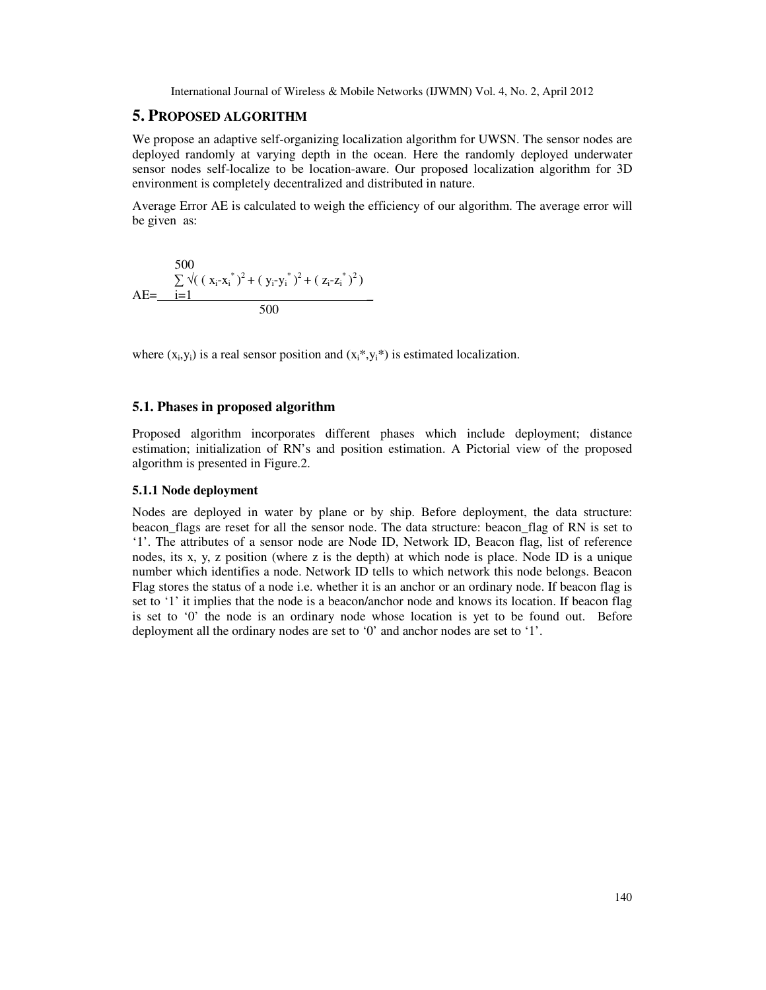## **5. PROPOSED ALGORITHM**

We propose an adaptive self-organizing localization algorithm for UWSN. The sensor nodes are deployed randomly at varying depth in the ocean. Here the randomly deployed underwater sensor nodes self-localize to be location-aware. Our proposed localization algorithm for 3D environment is completely decentralized and distributed in nature.

Average Error AE is calculated to weigh the efficiency of our algorithm. The average error will be given as:

500  
\n
$$
\sum_{i=1}^{500} \sqrt{(x_i - x_i^*)^2 + (y_i - y_i^*)^2 + (z_i - z_i^*)^2}
$$
\n
$$
AE = \frac{i - 1}{500}
$$

where  $(x_i, y_i)$  is a real sensor position and  $(x_i^*, y_i^*)$  is estimated localization.

## **5.1. Phases in proposed algorithm**

Proposed algorithm incorporates different phases which include deployment; distance estimation; initialization of RN's and position estimation. A Pictorial view of the proposed algorithm is presented in Figure.2.

#### **5.1.1 Node deployment**

Nodes are deployed in water by plane or by ship. Before deployment, the data structure: beacon\_flags are reset for all the sensor node. The data structure: beacon\_flag of RN is set to '1'. The attributes of a sensor node are Node ID, Network ID, Beacon flag, list of reference nodes, its x, y, z position (where z is the depth) at which node is place. Node ID is a unique number which identifies a node. Network ID tells to which network this node belongs. Beacon Flag stores the status of a node i.e. whether it is an anchor or an ordinary node. If beacon flag is set to '1' it implies that the node is a beacon/anchor node and knows its location. If beacon flag is set to '0' the node is an ordinary node whose location is yet to be found out. Before deployment all the ordinary nodes are set to '0' and anchor nodes are set to '1'.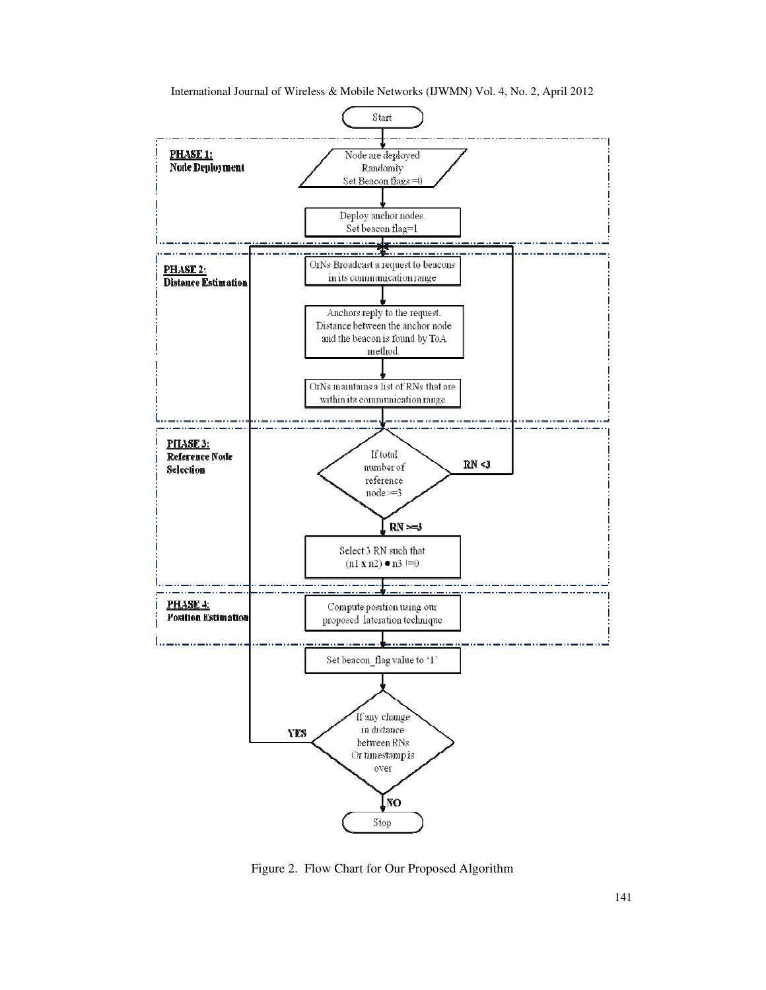

Figure 2. Flow Chart for Our Proposed Algorithm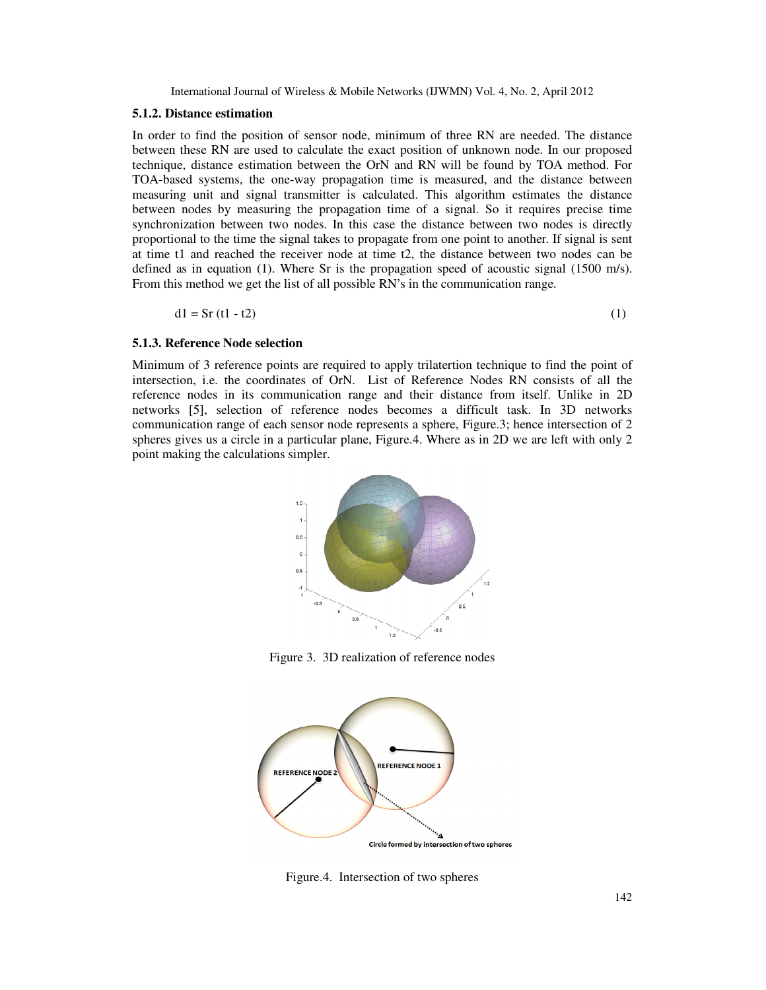#### **5.1.2. Distance estimation**

In order to find the position of sensor node, minimum of three RN are needed. The distance between these RN are used to calculate the exact position of unknown node. In our proposed technique, distance estimation between the OrN and RN will be found by TOA method. For TOA-based systems, the one-way propagation time is measured, and the distance between measuring unit and signal transmitter is calculated. This algorithm estimates the distance between nodes by measuring the propagation time of a signal. So it requires precise time synchronization between two nodes. In this case the distance between two nodes is directly proportional to the time the signal takes to propagate from one point to another. If signal is sent at time t1 and reached the receiver node at time t2, the distance between two nodes can be defined as in equation (1). Where Sr is the propagation speed of acoustic signal (1500 m/s). From this method we get the list of all possible RN's in the communication range.

$$
d1 = Sr (t1 - t2) \tag{1}
$$

## **5.1.3. Reference Node selection**

Minimum of 3 reference points are required to apply trilatertion technique to find the point of intersection, i.e. the coordinates of OrN. List of Reference Nodes RN consists of all the reference nodes in its communication range and their distance from itself. Unlike in 2D networks [5], selection of reference nodes becomes a difficult task. In 3D networks communication range of each sensor node represents a sphere, Figure.3; hence intersection of 2 spheres gives us a circle in a particular plane, Figure.4. Where as in 2D we are left with only 2 point making the calculations simpler.



Figure 3. 3D realization of reference nodes



Figure.4. Intersection of two spheres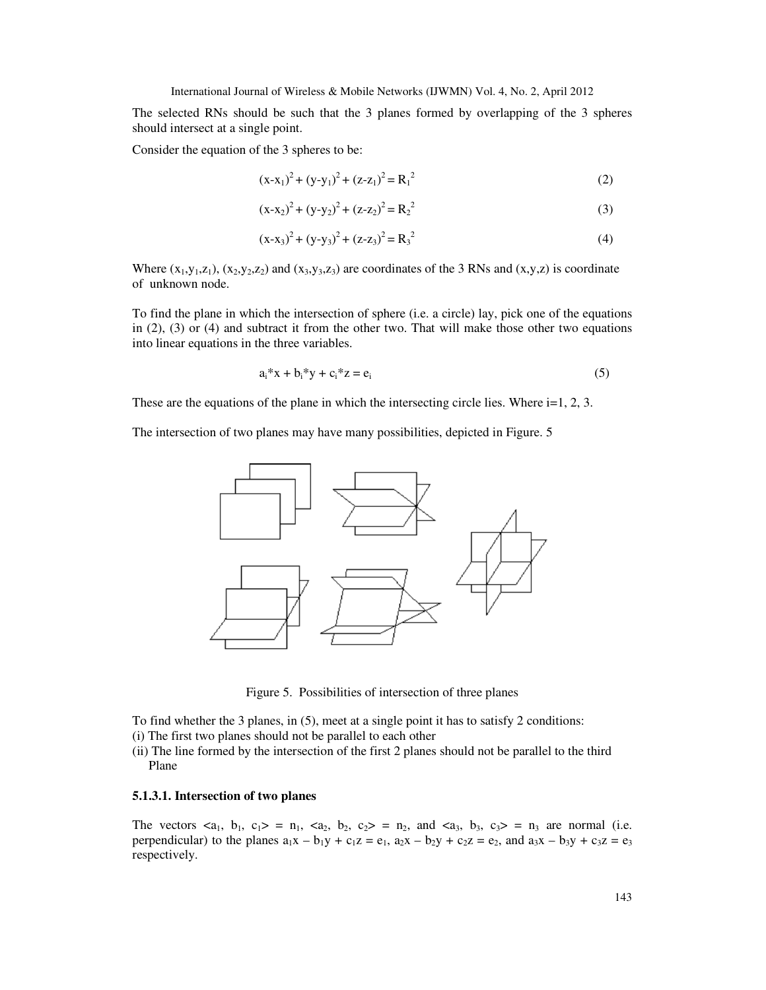The selected RNs should be such that the 3 planes formed by overlapping of the 3 spheres should intersect at a single point.

Consider the equation of the 3 spheres to be:

$$
(x-x1)2 + (y-y1)2 + (z-z1)2 = R12
$$
 (2)

$$
(x-x2)2 + (y-y2)2 + (z-z2)2 = R22
$$
 (3)

$$
(x-x3)2 + (y-y3)2 + (z-z3)2 = R32
$$
 (4)

Where  $(x_1,y_1,z_1)$ ,  $(x_2,y_2,z_2)$  and  $(x_3,y_3,z_3)$  are coordinates of the 3 RNs and  $(x,y,z)$  is coordinate of unknown node.

To find the plane in which the intersection of sphere (i.e. a circle) lay, pick one of the equations in (2), (3) or (4) and subtract it from the other two. That will make those other two equations into linear equations in the three variables.

$$
a_i^*x + b_i^*y + c_i^*z = e_i
$$
 (5)

These are the equations of the plane in which the intersecting circle lies. Where  $i=1, 2, 3$ .

The intersection of two planes may have many possibilities, depicted in Figure. 5



Figure 5. Possibilities of intersection of three planes

To find whether the 3 planes, in (5), meet at a single point it has to satisfy 2 conditions:

- (i) The first two planes should not be parallel to each other
- (ii) The line formed by the intersection of the first 2 planes should not be parallel to the third Plane

#### **5.1.3.1. Intersection of two planes**

The vectors  $\langle a_1, b_1, c_1 \rangle = n_1$ ,  $\langle a_2, b_2, c_2 \rangle = n_2$ , and  $\langle a_3, b_3, c_3 \rangle = n_3$  are normal (i.e. perpendicular) to the planes  $a_1x - b_1y + c_1z = e_1$ ,  $a_2x - b_2y + c_2z = e_2$ , and  $a_3x - b_3y + c_3z = e_3$ respectively.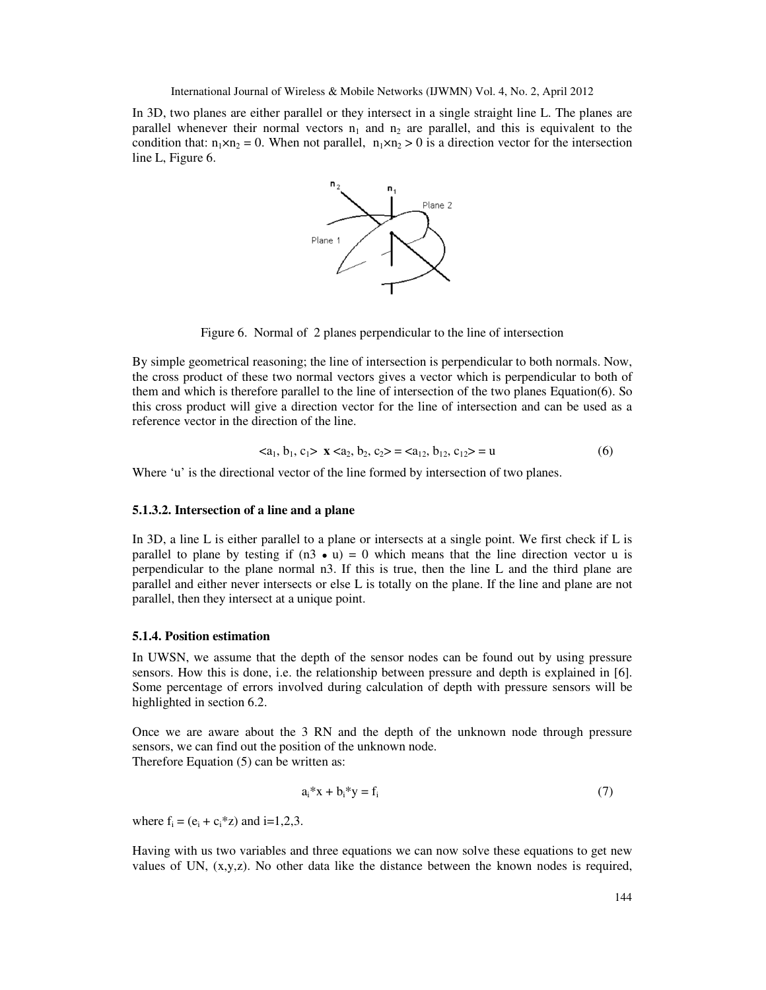In 3D, two planes are either parallel or they intersect in a single straight line L. The planes are parallel whenever their normal vectors  $n_1$  and  $n_2$  are parallel, and this is equivalent to the condition that:  $n_1 \times n_2 = 0$ . When not parallel,  $n_1 \times n_2 > 0$  is a direction vector for the intersection line L, Figure 6.



Figure 6. Normal of 2 planes perpendicular to the line of intersection

By simple geometrical reasoning; the line of intersection is perpendicular to both normals. Now, the cross product of these two normal vectors gives a vector which is perpendicular to both of them and which is therefore parallel to the line of intersection of the two planes Equation(6). So this cross product will give a direction vector for the line of intersection and can be used as a reference vector in the direction of the line.

$$
\langle a_1, b_1, c_1 \rangle \mathbf{X} \langle a_2, b_2, c_2 \rangle = \langle a_{12}, b_{12}, c_{12} \rangle = \mathbf{u} \tag{6}
$$

Where 'u' is the directional vector of the line formed by intersection of two planes.

#### **5.1.3.2. Intersection of a line and a plane**

In 3D, a line L is either parallel to a plane or intersects at a single point. We first check if L is parallel to plane by testing if  $(n3 \cdot u) = 0$  which means that the line direction vector u is perpendicular to the plane normal n3. If this is true, then the line L and the third plane are parallel and either never intersects or else L is totally on the plane. If the line and plane are not parallel, then they intersect at a unique point.

#### **5.1.4. Position estimation**

In UWSN, we assume that the depth of the sensor nodes can be found out by using pressure sensors. How this is done, i.e. the relationship between pressure and depth is explained in [6]. Some percentage of errors involved during calculation of depth with pressure sensors will be highlighted in section 6.2.

Once we are aware about the 3 RN and the depth of the unknown node through pressure sensors, we can find out the position of the unknown node. Therefore Equation (5) can be written as:

$$
a_i^*x + b_i^*y = f_i \tag{7}
$$

where  $f_i = (e_i + c_i * z)$  and  $i=1,2,3$ .

Having with us two variables and three equations we can now solve these equations to get new values of UN,  $(x,y,z)$ . No other data like the distance between the known nodes is required,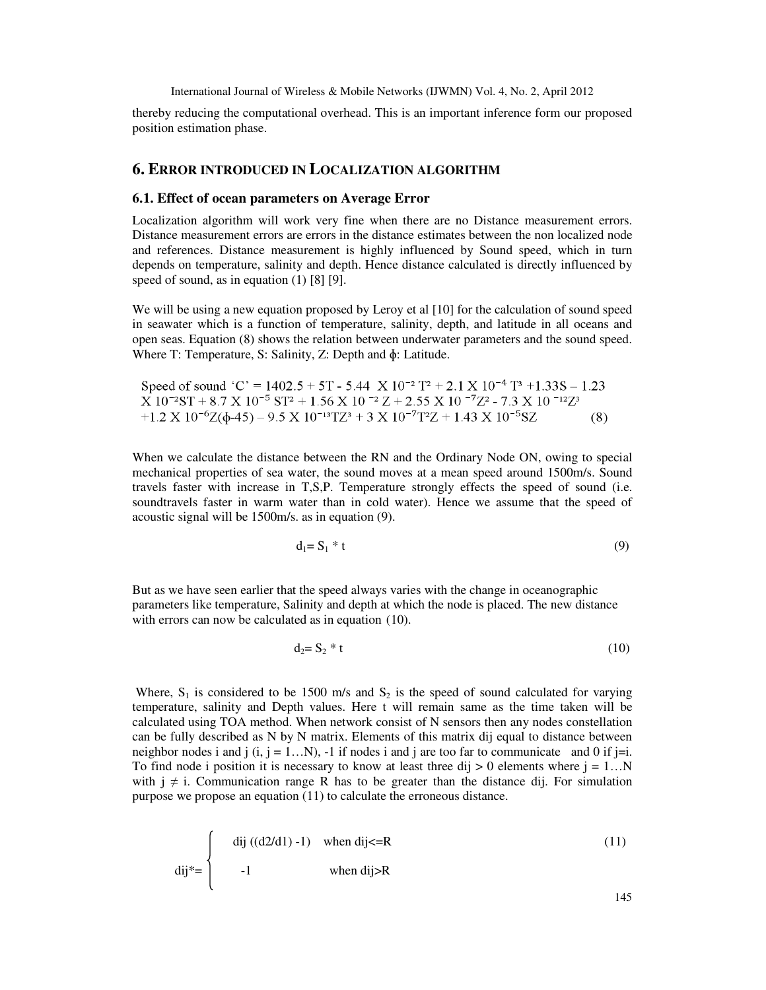thereby reducing the computational overhead. This is an important inference form our proposed position estimation phase.

## **6. ERROR INTRODUCED IN LOCALIZATION ALGORITHM**

#### **6.1. Effect of ocean parameters on Average Error**

Localization algorithm will work very fine when there are no Distance measurement errors. Distance measurement errors are errors in the distance estimates between the non localized node and references. Distance measurement is highly influenced by Sound speed, which in turn depends on temperature, salinity and depth. Hence distance calculated is directly influenced by speed of sound, as in equation (1) [8] [9].

We will be using a new equation proposed by Leroy et al [10] for the calculation of sound speed in seawater which is a function of temperature, salinity, depth, and latitude in all oceans and open seas. Equation (8) shows the relation between underwater parameters and the sound speed. Where T: Temperature, S: Salinity, Z: Depth and ɸ: Latitude.

Speed of sound 'C' = 
$$
1402.5 + 5T - 5.44 \times 10^{-2} T^2 + 2.1 \times 10^{-4} T^3 + 1.33S - 1.23 \times 10^{-2} ST + 8.7 \times 10^{-5} ST^2 + 1.56 \times 10^{-2} Z + 2.55 \times 10^{-7} Z^2 - 7.3 \times 10^{-12} Z^3 + 1.2 \times 10^{-6} Z(\phi - 45) - 9.5 \times 10^{-13} T Z^3 + 3 \times 10^{-7} T^2 Z + 1.43 \times 10^{-5} SZ
$$
 (8)

When we calculate the distance between the RN and the Ordinary Node ON, owing to special mechanical properties of sea water, the sound moves at a mean speed around 1500m/s. Sound travels faster with increase in T,S,P. Temperature strongly effects the speed of sound (i.e. soundtravels faster in warm water than in cold water). Hence we assume that the speed of acoustic signal will be 1500m/s. as in equation (9).

$$
d_1 = S_1 * t \tag{9}
$$

But as we have seen earlier that the speed always varies with the change in oceanographic parameters like temperature, Salinity and depth at which the node is placed. The new distance with errors can now be calculated as in equation (10).

$$
d_2 = S_2 * t \tag{10}
$$

Where,  $S_1$  is considered to be 1500 m/s and  $S_2$  is the speed of sound calculated for varying temperature, salinity and Depth values. Here t will remain same as the time taken will be calculated using TOA method. When network consist of N sensors then any nodes constellation can be fully described as N by N matrix. Elements of this matrix dij equal to distance between neighbor nodes i and j  $(i, j = 1...N)$ , -1 if nodes i and j are too far to communicate and 0 if  $j=i$ . To find node i position it is necessary to know at least three dij  $> 0$  elements where  $j = 1...N$ with  $j \neq i$ . Communication range R has to be greater than the distance dij. For simulation purpose we propose an equation (11) to calculate the erroneous distance.

$$
\text{dij}^* = \begin{cases} \text{dij} \left( \frac{d2}{d1} - 1 \right) & \text{when } \text{dij} < = R \\ -1 & \text{when } \text{dij} > R \end{cases} \tag{11}
$$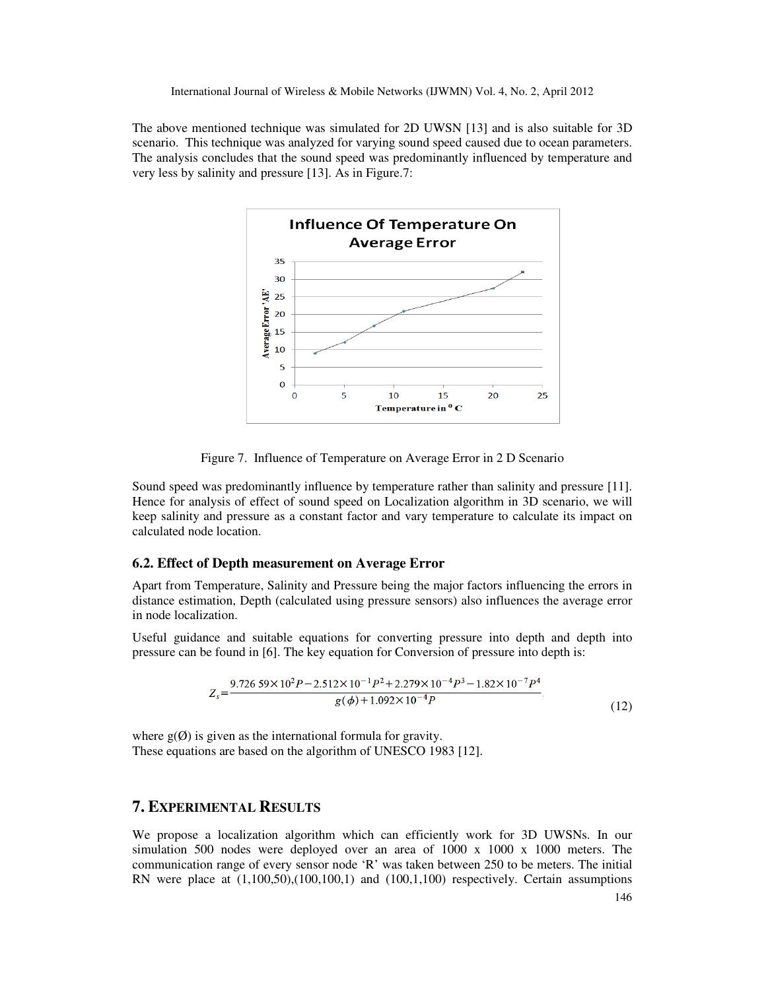The above mentioned technique was simulated for 2D UWSN [13] and is also suitable for 3D scenario. This technique was analyzed for varying sound speed caused due to ocean parameters. The analysis concludes that the sound speed was predominantly influenced by temperature and very less by salinity and pressure [13]. As in Figure.7:



Figure 7. Influence of Temperature on Average Error in 2 D Scenario

Sound speed was predominantly influence by temperature rather than salinity and pressure [11]. Hence for analysis of effect of sound speed on Localization algorithm in 3D scenario, we will keep salinity and pressure as a constant factor and vary temperature to calculate its impact on calculated node location.

#### **6.2. Effect of Depth measurement on Average Error**

Apart from Temperature, Salinity and Pressure being the major factors influencing the errors in distance estimation, Depth (calculated using pressure sensors) also influences the average error in node localization.

Useful guidance and suitable equations for converting pressure into depth and depth into pressure can be found in [6]. The key equation for Conversion of pressure into depth is:

$$
Z_s = \frac{9.726\,59 \times 10^2 P - 2.512 \times 10^{-1} P^2 + 2.279 \times 10^{-4} P^3 - 1.82 \times 10^{-7} P^4}{g(\phi) + 1.092 \times 10^{-4} P}
$$
\n
$$
(12)
$$

where  $g(\emptyset)$  is given as the international formula for gravity. These equations are based on the algorithm of UNESCO 1983 [12].

## **7. EXPERIMENTAL RESULTS**

We propose a localization algorithm which can efficiently work for 3D UWSNs. In our simulation 500 nodes were deployed over an area of 1000 x 1000 x 1000 meters. The communication range of every sensor node 'R' was taken between 250 to be meters. The initial RN were place at (1,100,50),(100,100,1) and (100,1,100) respectively. Certain assumptions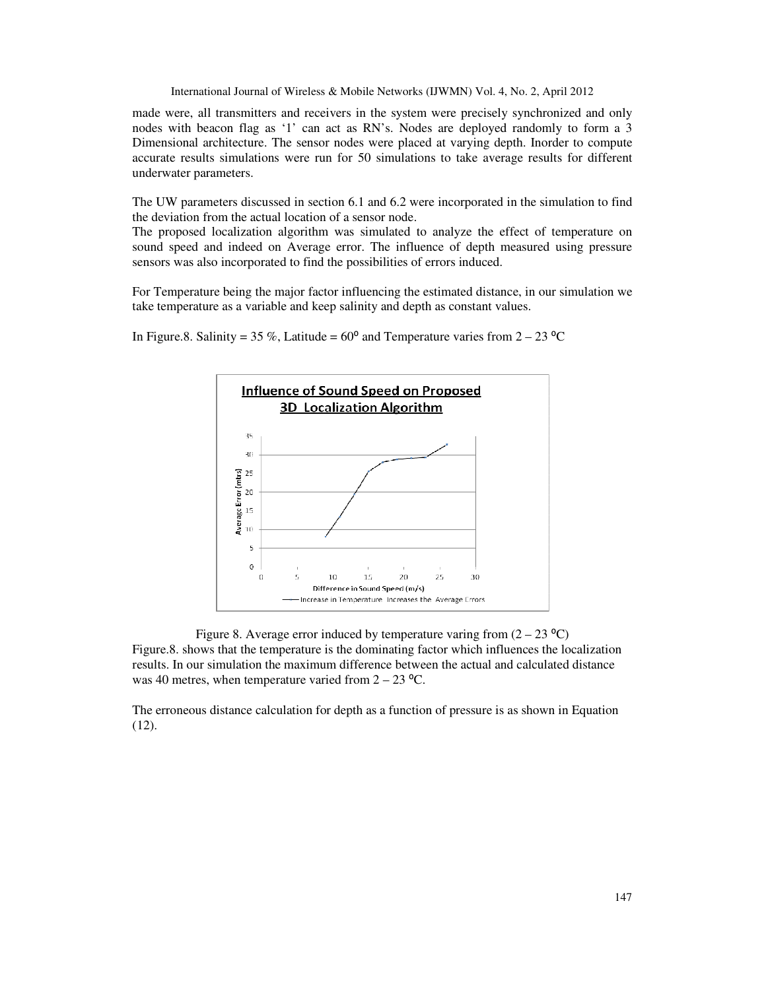made were, all transmitters and receivers in the system were precisely synchronized and only nodes with beacon flag as '1' can act as RN's. Nodes are deployed randomly to form a 3 Dimensional architecture. The sensor nodes were placed at varying depth. Inorder to compute accurate results simulations were run for 50 simulations to take average results for different underwater parameters.

The UW parameters discussed in section 6.1 and 6.2 were incorporated in the simulation to find the deviation from the actual location of a sensor node.

The proposed localization algorithm was simulated to analyze the effect of temperature on sound speed and indeed on Average error. The influence of depth measured using pressure sensors was also incorporated to find the possibilities of errors induced.

For Temperature being the major factor influencing the estimated distance, in our simulation we take temperature as a variable and keep salinity and depth as constant values.



In Figure.8. Salinity = 35 %, Latitude =  $60^{\circ}$  and Temperature varies from 2 – 23 °C

Figure 8. Average error induced by temperature varing from  $(2 - 23 \degree C)$ Figure.8. shows that the temperature is the dominating factor which influences the localization results. In our simulation the maximum difference between the actual and calculated distance was 40 metres, when temperature varied from  $2 - 23$  °C.

The erroneous distance calculation for depth as a function of pressure is as shown in Equation (12).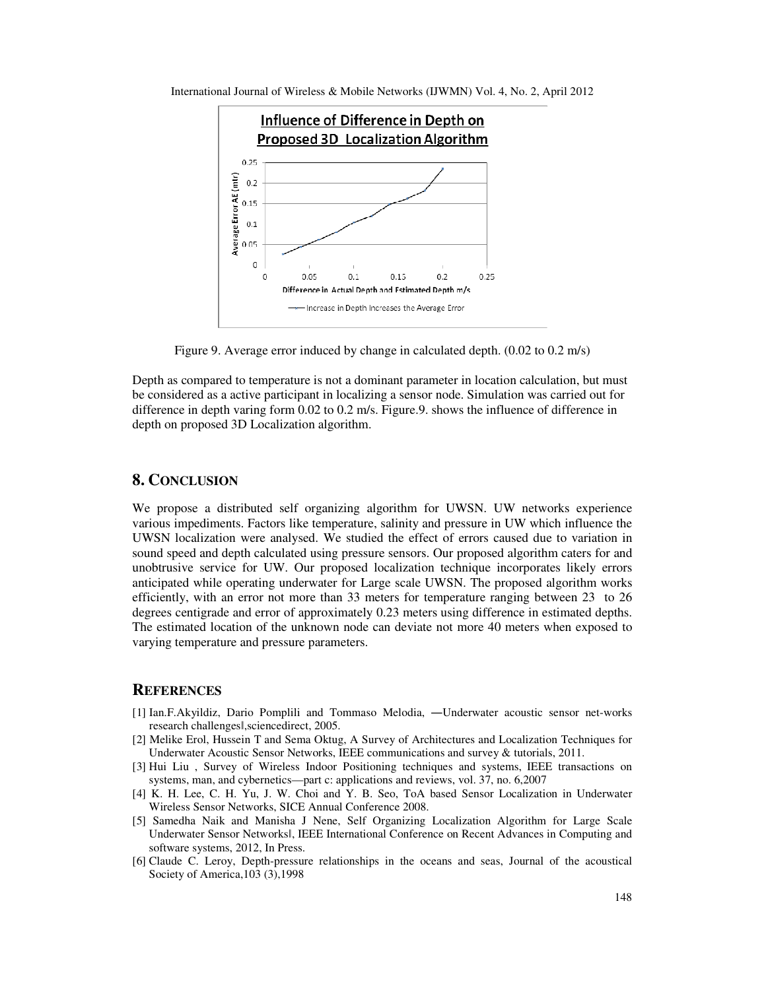International Journal of Wireless & Mobile Networks (IJWMN) Vol. 4, No. 2, April 2012



Figure 9. Average error induced by change in calculated depth. (0.02 to 0.2 m/s)

Depth as compared to temperature is not a dominant parameter in location calculation, but must be considered as a active participant in localizing a sensor node. Simulation was carried out for difference in depth varing form 0.02 to 0.2 m/s. Figure.9. shows the influence of difference in depth on proposed 3D Localization algorithm.

## **8. CONCLUSION**

We propose a distributed self organizing algorithm for UWSN. UW networks experience various impediments. Factors like temperature, salinity and pressure in UW which influence the UWSN localization were analysed. We studied the effect of errors caused due to variation in sound speed and depth calculated using pressure sensors. Our proposed algorithm caters for and unobtrusive service for UW. Our proposed localization technique incorporates likely errors anticipated while operating underwater for Large scale UWSN. The proposed algorithm works efficiently, with an error not more than 33 meters for temperature ranging between 23 to 26 degrees centigrade and error of approximately 0.23 meters using difference in estimated depths. The estimated location of the unknown node can deviate not more 40 meters when exposed to varying temperature and pressure parameters.

#### **REFERENCES**

- [1] Ian.F.Akyildiz, Dario Pomplili and Tommaso Melodia, ―Underwater acoustic sensor net-works research challengesǁ,sciencedirect, 2005.
- [2] Melike Erol, Hussein T and Sema Oktug, A Survey of Architectures and Localization Techniques for Underwater Acoustic Sensor Networks, IEEE communications and survey & tutorials, 2011.
- [3] Hui Liu , Survey of Wireless Indoor Positioning techniques and systems, IEEE transactions on systems, man, and cybernetics—part c: applications and reviews, vol. 37, no. 6,2007
- [4] K. H. Lee, C. H. Yu, J. W. Choi and Y. B. Seo, ToA based Sensor Localization in Underwater Wireless Sensor Networks, SICE Annual Conference 2008.
- [5] Samedha Naik and Manisha J Nene, Self Organizing Localization Algorithm for Large Scale Underwater Sensor Networksǁ, IEEE International Conference on Recent Advances in Computing and software systems, 2012, In Press.
- [6] Claude C. Leroy, Depth-pressure relationships in the oceans and seas, Journal of the acoustical Society of America,103 (3),1998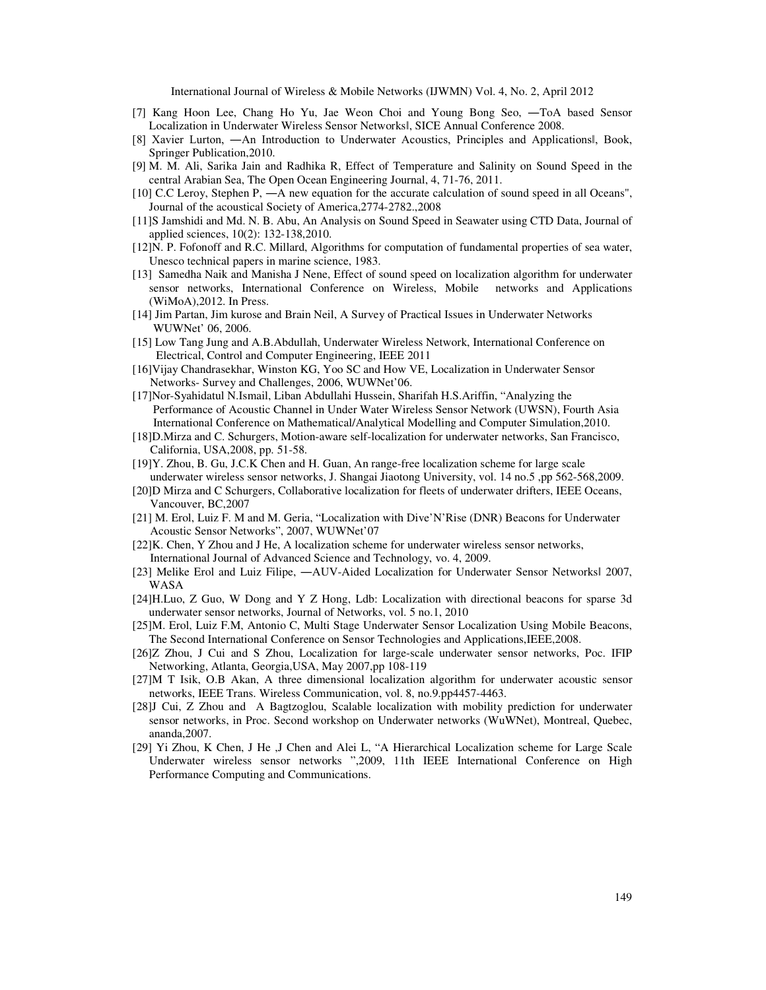- [7] Kang Hoon Lee, Chang Ho Yu, Jae Weon Choi and Young Bong Seo, ―ToA based Sensor Localization in Underwater Wireless Sensor Networksǁ, SICE Annual Conference 2008.
- [8] Xavier Lurton, —An Introduction to Underwater Acoustics, Principles and Applicationsl, Book, Springer Publication,2010.
- [9] M. M. Ali, Sarika Jain and Radhika R, Effect of Temperature and Salinity on Sound Speed in the central Arabian Sea, The Open Ocean Engineering Journal, 4, 71-76, 2011.
- [10] C.C Leroy, Stephen P, —A new equation for the accurate calculation of sound speed in all Oceans", Journal of the acoustical Society of America,2774-2782.,2008
- [11]S Jamshidi and Md. N. B. Abu, An Analysis on Sound Speed in Seawater using CTD Data, Journal of applied sciences, 10(2): 132-138,2010.
- [12]N. P. Fofonoff and R.C. Millard, Algorithms for computation of fundamental properties of sea water, Unesco technical papers in marine science, 1983.
- [13] Samedha Naik and Manisha J Nene, Effect of sound speed on localization algorithm for underwater sensor networks, International Conference on Wireless, Mobile networks and Applications (WiMoA),2012. In Press.
- [14] Jim Partan, Jim kurose and Brain Neil, A Survey of Practical Issues in Underwater Networks WUWNet' 06, 2006.
- [15] Low Tang Jung and A.B.Abdullah, Underwater Wireless Network, International Conference on Electrical, Control and Computer Engineering, IEEE 2011
- [16]Vijay Chandrasekhar, Winston KG, Yoo SC and How VE, Localization in Underwater Sensor Networks- Survey and Challenges, 2006, WUWNet'06.
- [17]Nor-Syahidatul N.Ismail, Liban Abdullahi Hussein, Sharifah H.S.Ariffin, "Analyzing the Performance of Acoustic Channel in Under Water Wireless Sensor Network (UWSN), Fourth Asia International Conference on Mathematical/Analytical Modelling and Computer Simulation,2010.
- [18]D.Mirza and C. Schurgers, Motion-aware self-localization for underwater networks, San Francisco, California, USA,2008, pp. 51-58.
- [19]Y. Zhou, B. Gu, J.C.K Chen and H. Guan, An range-free localization scheme for large scale underwater wireless sensor networks, J. Shangai Jiaotong University, vol. 14 no.5 ,pp 562-568,2009.
- [20]D Mirza and C Schurgers, Collaborative localization for fleets of underwater drifters, IEEE Oceans, Vancouver, BC,2007
- [21] M. Erol, Luiz F. M and M. Geria, "Localization with Dive'N'Rise (DNR) Beacons for Underwater Acoustic Sensor Networks", 2007, WUWNet'07
- [22]K. Chen, Y Zhou and J He, A localization scheme for underwater wireless sensor networks, International Journal of Advanced Science and Technology, vo. 4, 2009.
- [23] Melike Erol and Luiz Filipe, -AUV-Aided Localization for Underwater Sensor Networksl 2007, WASA
- [24]H.Luo, Z Guo, W Dong and Y Z Hong, Ldb: Localization with directional beacons for sparse 3d underwater sensor networks, Journal of Networks, vol. 5 no.1, 2010
- [25]M. Erol, Luiz F.M, Antonio C, Multi Stage Underwater Sensor Localization Using Mobile Beacons, The Second International Conference on Sensor Technologies and Applications,IEEE,2008.
- [26]Z Zhou, J Cui and S Zhou, Localization for large-scale underwater sensor networks, Poc. IFIP Networking, Atlanta, Georgia,USA, May 2007,pp 108-119
- [27]M T Isik, O.B Akan, A three dimensional localization algorithm for underwater acoustic sensor networks, IEEE Trans. Wireless Communication, vol. 8, no.9.pp4457-4463.
- [28]J Cui, Z Zhou and A Bagtzoglou, Scalable localization with mobility prediction for underwater sensor networks, in Proc. Second workshop on Underwater networks (WuWNet), Montreal, Quebec, ananda,2007.
- [29] Yi Zhou, K Chen, J He ,J Chen and Alei L, "A Hierarchical Localization scheme for Large Scale Underwater wireless sensor networks ",2009, 11th IEEE International Conference on High Performance Computing and Communications.